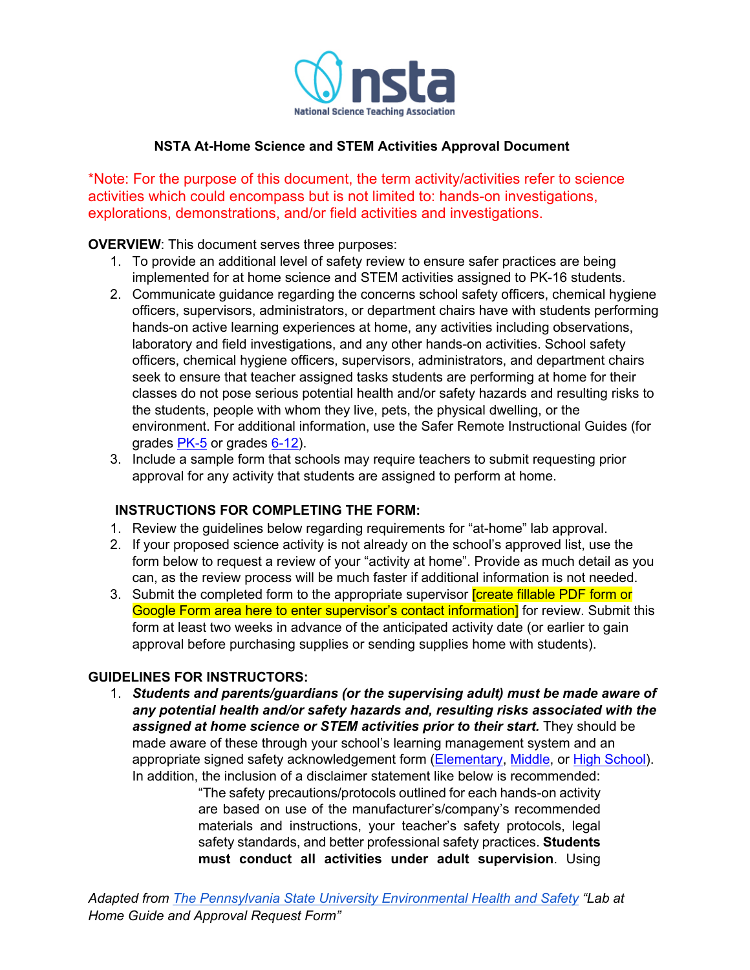

# **NSTA At-Home Science and STEM Activities Approval Document**

\*Note: For the purpose of this document, the term activity/activities refer to science activities which could encompass but is not limited to: hands-on investigations, explorations, demonstrations, and/or field activities and investigations.

# **OVERVIEW**: This document serves three purposes:

- 1. To provide an additional level of safety review to ensure safer practices are being implemented for at home science and STEM activities assigned to PK-16 students.
- 2. Communicate guidance regarding the concerns school safety officers, chemical hygiene officers, supervisors, administrators, or department chairs have with students performing hands-on active learning experiences at home, any activities including observations, laboratory and field investigations, and any other hands-on activities. School safety officers, chemical hygiene officers, supervisors, administrators, and department chairs seek to ensure that teacher assigned tasks students are performing at home for their classes do not pose serious potential health and/or safety hazards and resulting risks to the students, people with whom they live, pets, the physical dwelling, or the environment. For additional information, use the Safer Remote Instructional Guides (for grades PK-5 or grades 6-12).
- 3. Include a sample form that schools may require teachers to submit requesting prior approval for any activity that students are assigned to perform at home.

## **INSTRUCTIONS FOR COMPLETING THE FORM:**

- 1. Review the guidelines below regarding requirements for "at-home" lab approval.
- 2. If your proposed science activity is not already on the school's approved list, use the form below to request a review of your "activity at home". Provide as much detail as you can, as the review process will be much faster if additional information is not needed.
- 3. Submit the completed form to the appropriate supervisor **[create fillable PDF form or** Google Form area here to enter supervisor's contact information] for review. Submit this form at least two weeks in advance of the anticipated activity date (or earlier to gain approval before purchasing supplies or sending supplies home with students).

# **GUIDELINES FOR INSTRUCTORS:**

1. *Students and parents/guardians (or the supervising adult) must be made aware of any potential health and/or safety hazards and, resulting risks associated with the assigned at home science or STEM activities prior to their start.* They should be made aware of these through your school's learning management system and an appropriate signed safety acknowledgement form (Elementary, Middle, or High School). In addition, the inclusion of a disclaimer statement like below is recommended:

"The safety precautions/protocols outlined for each hands-on activity are based on use of the manufacturer's/company's recommended materials and instructions, your teacher's safety protocols, legal safety standards, and better professional safety practices. **Students must conduct all activities under adult supervision**. Using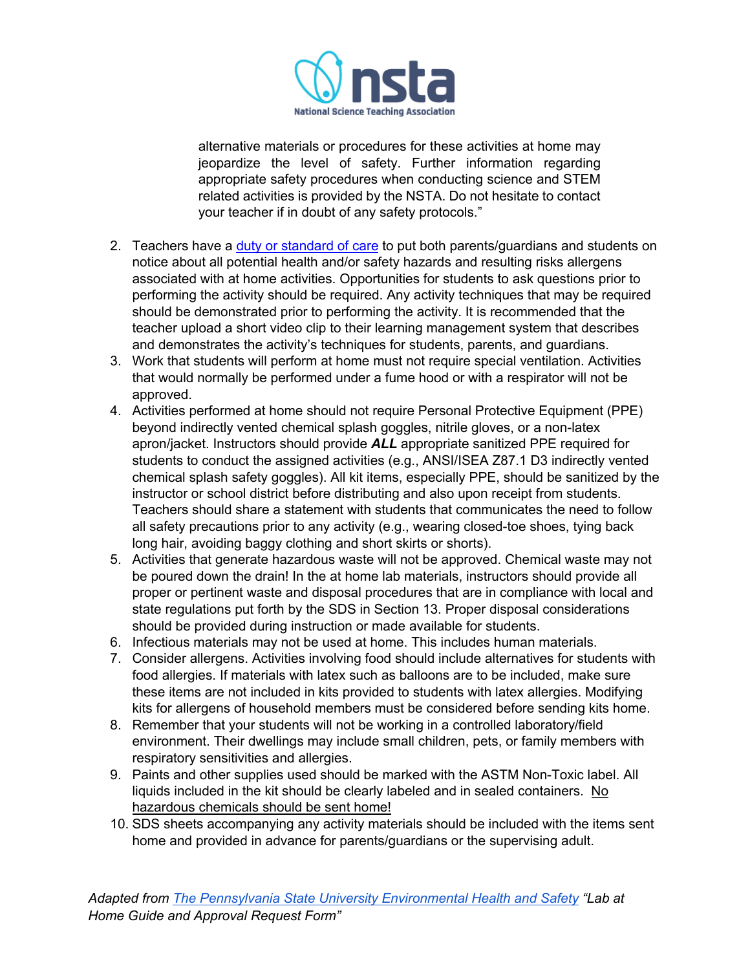

alternative materials or procedures for these activities at home may jeopardize the level of safety. Further information regarding appropriate safety procedures when conducting science and STEM related activities is provided by the NSTA. Do not hesitate to contact your teacher if in doubt of any safety protocols."

- 2. Teachers have a duty or standard of care to put both parents/guardians and students on notice about all potential health and/or safety hazards and resulting risks allergens associated with at home activities. Opportunities for students to ask questions prior to performing the activity should be required. Any activity techniques that may be required should be demonstrated prior to performing the activity. It is recommended that the teacher upload a short video clip to their learning management system that describes and demonstrates the activity's techniques for students, parents, and guardians.
- 3. Work that students will perform at home must not require special ventilation. Activities that would normally be performed under a fume hood or with a respirator will not be approved.
- 4. Activities performed at home should not require Personal Protective Equipment (PPE) beyond indirectly vented chemical splash goggles, nitrile gloves, or a non-latex apron/jacket. Instructors should provide *ALL* appropriate sanitized PPE required for students to conduct the assigned activities (e.g., ANSI/ISEA Z87.1 D3 indirectly vented chemical splash safety goggles). All kit items, especially PPE, should be sanitized by the instructor or school district before distributing and also upon receipt from students. Teachers should share a statement with students that communicates the need to follow all safety precautions prior to any activity (e.g., wearing closed-toe shoes, tying back long hair, avoiding baggy clothing and short skirts or shorts).
- 5. Activities that generate hazardous waste will not be approved. Chemical waste may not be poured down the drain! In the at home lab materials, instructors should provide all proper or pertinent waste and disposal procedures that are in compliance with local and state regulations put forth by the SDS in Section 13. Proper disposal considerations should be provided during instruction or made available for students.
- 6. Infectious materials may not be used at home. This includes human materials.
- 7. Consider allergens. Activities involving food should include alternatives for students with food allergies. If materials with latex such as balloons are to be included, make sure these items are not included in kits provided to students with latex allergies. Modifying kits for allergens of household members must be considered before sending kits home.
- 8. Remember that your students will not be working in a controlled laboratory/field environment. Their dwellings may include small children, pets, or family members with respiratory sensitivities and allergies.
- 9. Paints and other supplies used should be marked with the ASTM Non-Toxic label. All liquids included in the kit should be clearly labeled and in sealed containers. No hazardous chemicals should be sent home!
- 10. SDS sheets accompanying any activity materials should be included with the items sent home and provided in advance for parents/guardians or the supervising adult.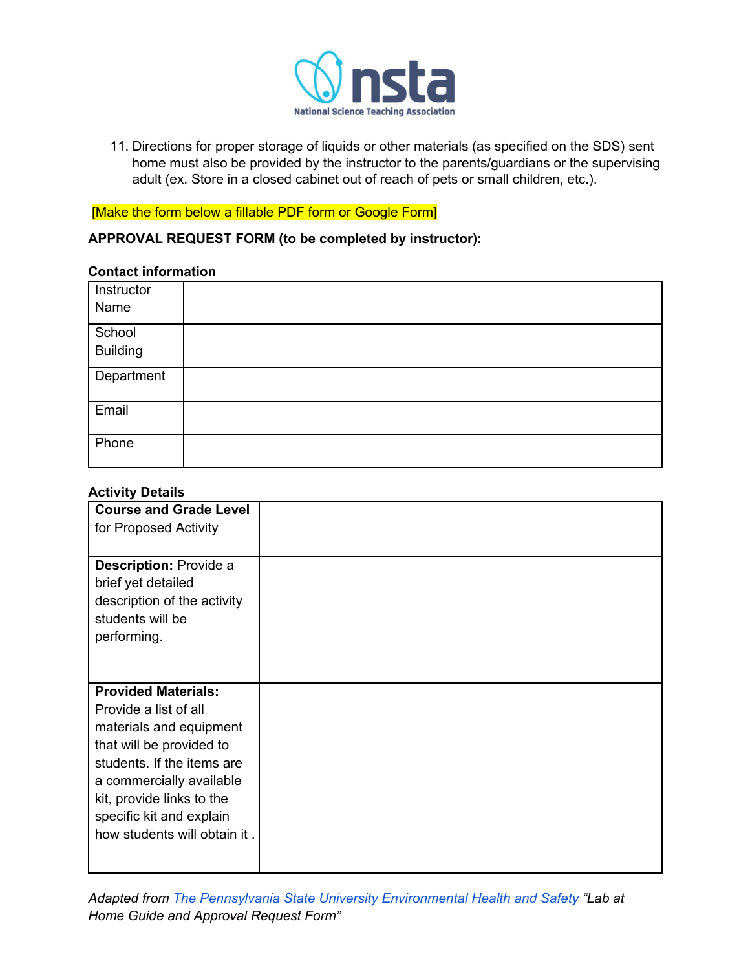

11. Directions for proper storage of liquids or other materials (as specified on the SDS) sent home must also be provided by the instructor to the parents/guardians or the supervising adult (ex. Store in a closed cabinet out of reach of pets or small children, etc.).

# [Make the form below a fillable PDF form or Google Form]

## **APPROVAL REQUEST FORM (to be completed by instructor):**

#### **Contact information**

| Instructor<br>Name |  |
|--------------------|--|
| School<br>Building |  |
| Department         |  |
| Email              |  |
| Phone              |  |

#### **Activity Details**

| <b>Course and Grade Level</b> |  |
|-------------------------------|--|
| for Proposed Activity         |  |
|                               |  |
| <b>Description: Provide a</b> |  |
| brief yet detailed            |  |
| description of the activity   |  |
| students will be              |  |
| performing.                   |  |
|                               |  |
|                               |  |
| <b>Provided Materials:</b>    |  |
| Provide a list of all         |  |
| materials and equipment       |  |
| that will be provided to      |  |
| students. If the items are    |  |
| a commercially available      |  |
| kit, provide links to the     |  |
| specific kit and explain      |  |
| how students will obtain it.  |  |
|                               |  |
|                               |  |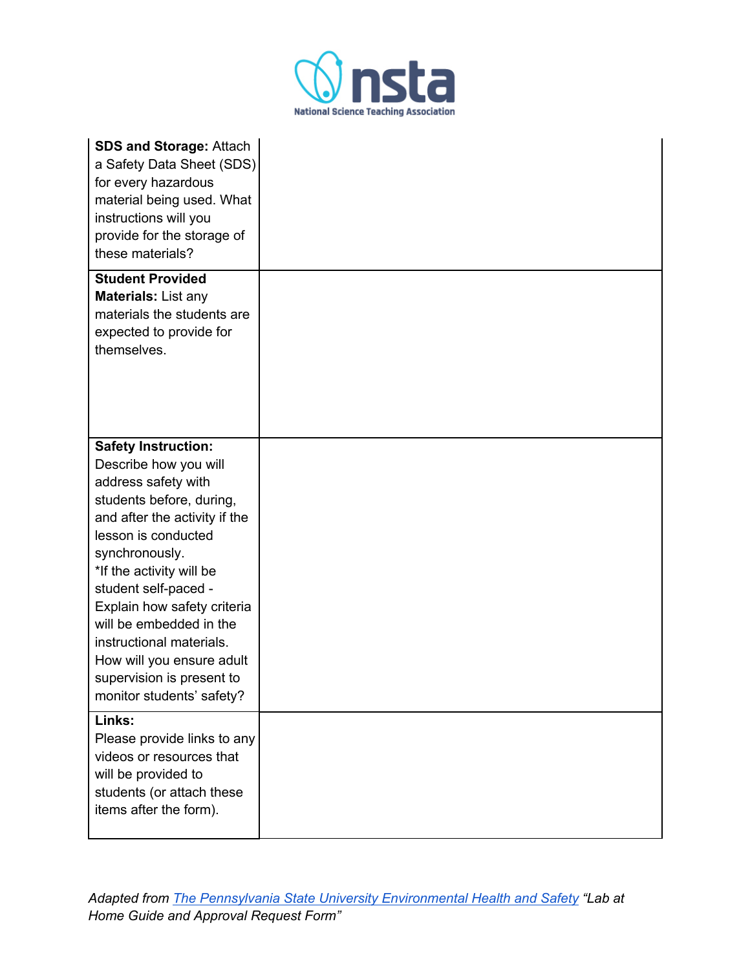

| <b>SDS and Storage: Attach</b><br>a Safety Data Sheet (SDS)<br>for every hazardous<br>material being used. What<br>instructions will you<br>provide for the storage of<br>these materials?                                                                                                                                                                                                                        |  |
|-------------------------------------------------------------------------------------------------------------------------------------------------------------------------------------------------------------------------------------------------------------------------------------------------------------------------------------------------------------------------------------------------------------------|--|
| <b>Student Provided</b><br>Materials: List any<br>materials the students are<br>expected to provide for<br>themselves.                                                                                                                                                                                                                                                                                            |  |
| <b>Safety Instruction:</b><br>Describe how you will<br>address safety with<br>students before, during,<br>and after the activity if the<br>lesson is conducted<br>synchronously.<br>*If the activity will be<br>student self-paced -<br>Explain how safety criteria<br>will be embedded in the<br>instructional materials.<br>How will you ensure adult<br>supervision is present to<br>monitor students' safety? |  |
| Links:<br>Please provide links to any<br>videos or resources that<br>will be provided to<br>students (or attach these<br>items after the form).                                                                                                                                                                                                                                                                   |  |